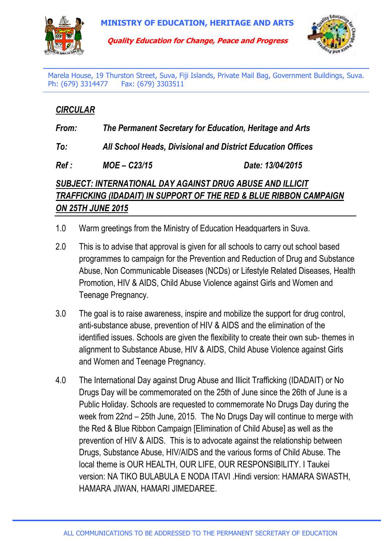

**Quality Education for Change, Peace and Progress**



Marela House, 19 Thurston Street, Suva, Fiji Islands, Private Mail Bag, Government Buildings, Suva. Ph: (679) 3314477 Fax: (679) 3303511

## *CIRCULAR*

*From: The Permanent Secretary for Education, Heritage and Arts* 

*To: All School Heads, Divisional and District Education Offices*

*Ref : MOE – C23/15 Date: 13/04/2015* 

## *SUBJECT: INTERNATIONAL DAY AGAINST DRUG ABUSE AND ILLICIT TRAFFICKING (IDADAIT) IN SUPPORT OF THE RED & BLUE RIBBON CAMPAIGN ON 25TH JUNE 2015*

- 1.0 Warm greetings from the Ministry of Education Headquarters in Suva.
- 2.0 This is to advise that approval is given for all schools to carry out school based programmes to campaign for the Prevention and Reduction of Drug and Substance Abuse, Non Communicable Diseases (NCDs) or Lifestyle Related Diseases, Health Promotion, HIV & AIDS, Child Abuse Violence against Girls and Women and Teenage Pregnancy.
- 3.0 The goal is to raise awareness, inspire and mobilize the support for drug control, anti-substance abuse, prevention of HIV & AIDS and the elimination of the identified issues. Schools are given the flexibility to create their own sub- themes in alignment to Substance Abuse, HIV & AIDS, Child Abuse Violence against Girls and Women and Teenage Pregnancy.
- 4.0 The International Day against Drug Abuse and Illicit Trafficking (IDADAIT) or No Drugs Day will be commemorated on the 25th of June since the 26th of June is a Public Holiday. Schools are requested to commemorate No Drugs Day during the week from 22nd – 25th June, 2015. The No Drugs Day will continue to merge with the Red & Blue Ribbon Campaign [Elimination of Child Abuse] as well as the prevention of HIV & AIDS. This is to advocate against the relationship between Drugs, Substance Abuse, HIV/AIDS and the various forms of Child Abuse. The local theme is OUR HEALTH, OUR LIFE, OUR RESPONSIBILITY. I Taukei version: NA TIKO BULABULA E NODA ITAVI .Hindi version: HAMARA SWASTH, HAMARA JIWAN, HAMARI JIMEDAREE.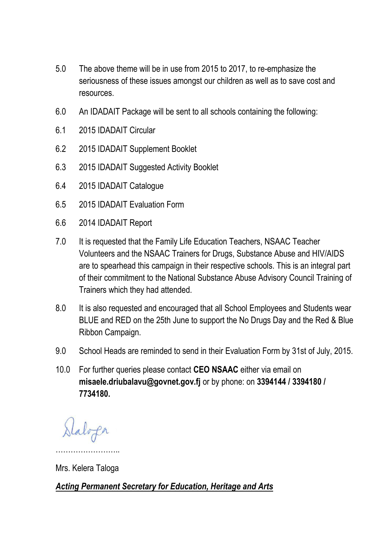- 5.0 The above theme will be in use from 2015 to 2017, to re-emphasize the seriousness of these issues amongst our children as well as to save cost and resources.
- 6.0 An IDADAIT Package will be sent to all schools containing the following:
- 6.1 2015 IDADAIT Circular
- 6.2 2015 IDADAIT Supplement Booklet
- 6.3 2015 IDADAIT Suggested Activity Booklet
- 6.4 2015 IDADAIT Catalogue
- 6.5 2015 IDADAIT Evaluation Form
- 6.6 2014 IDADAIT Report
- 7.0 It is requested that the Family Life Education Teachers, NSAAC Teacher Volunteers and the NSAAC Trainers for Drugs, Substance Abuse and HIV/AIDS are to spearhead this campaign in their respective schools. This is an integral part of their commitment to the National Substance Abuse Advisory Council Training of Trainers which they had attended.
- 8.0 It is also requested and encouraged that all School Employees and Students wear BLUE and RED on the 25th June to support the No Drugs Day and the Red & Blue Ribbon Campaign.
- 9.0 School Heads are reminded to send in their Evaluation Form by 31st of July, 2015.
- 10.0 For further queries please contact **CEO NSAAC** either via email on **misaele.driubalavu@govnet.gov.fj** or by phone: on **3394144 / 3394180 / 7734180.**

Daloga

Mrs. Kelera Taloga

……………………..

*Acting Permanent Secretary for Education, Heritage and Arts*